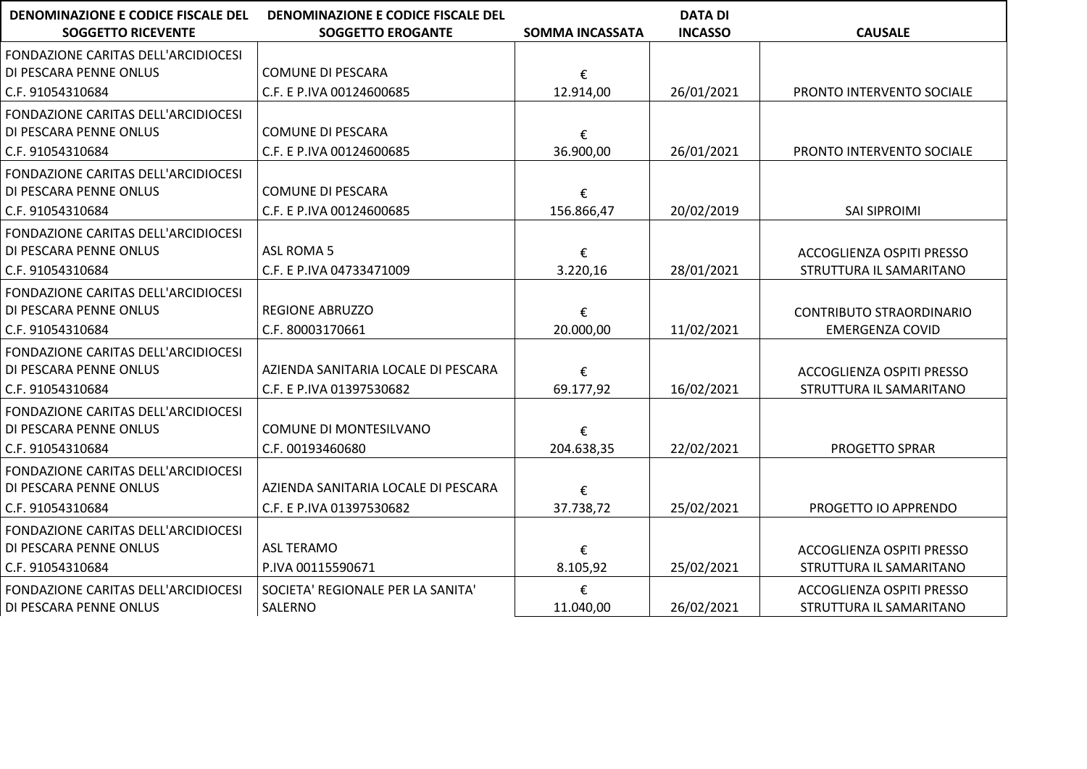| DENOMINAZIONE E CODICE FISCALE DEL         | DENOMINAZIONE E CODICE FISCALE DEL  |                        | <b>DATA DI</b> |                                 |
|--------------------------------------------|-------------------------------------|------------------------|----------------|---------------------------------|
| <b>SOGGETTO RICEVENTE</b>                  | <b>SOGGETTO EROGANTE</b>            | <b>SOMMA INCASSATA</b> | <b>INCASSO</b> | <b>CAUSALE</b>                  |
| <b>FONDAZIONE CARITAS DELL'ARCIDIOCESI</b> |                                     |                        |                |                                 |
| DI PESCARA PENNE ONLUS                     | <b>COMUNE DI PESCARA</b>            | €                      |                |                                 |
| C.F. 91054310684                           | C.F. E P.IVA 00124600685            | 12.914,00              | 26/01/2021     | PRONTO INTERVENTO SOCIALE       |
| FONDAZIONE CARITAS DELL'ARCIDIOCESI        |                                     |                        |                |                                 |
| DI PESCARA PENNE ONLUS                     | <b>COMUNE DI PESCARA</b>            | €                      |                |                                 |
| C.F. 91054310684                           | C.F. E P.IVA 00124600685            | 36.900,00              | 26/01/2021     | PRONTO INTERVENTO SOCIALE       |
| FONDAZIONE CARITAS DELL'ARCIDIOCESI        |                                     |                        |                |                                 |
| DI PESCARA PENNE ONLUS                     | <b>COMUNE DI PESCARA</b>            | €                      |                |                                 |
| C.F. 91054310684                           | C.F. E P.IVA 00124600685            | 156.866,47             | 20/02/2019     | <b>SAI SIPROIMI</b>             |
| FONDAZIONE CARITAS DELL'ARCIDIOCESI        |                                     |                        |                |                                 |
| DI PESCARA PENNE ONLUS                     | <b>ASL ROMA 5</b>                   | €                      |                | ACCOGLIENZA OSPITI PRESSO       |
| C.F. 91054310684                           | C.F. E P.IVA 04733471009            | 3.220,16               | 28/01/2021     | STRUTTURA IL SAMARITANO         |
| <b>FONDAZIONE CARITAS DELL'ARCIDIOCESI</b> |                                     |                        |                |                                 |
| DI PESCARA PENNE ONLUS                     | <b>REGIONE ABRUZZO</b>              | €                      |                | <b>CONTRIBUTO STRAORDINARIO</b> |
| C.F. 91054310684                           | C.F. 80003170661                    | 20.000,00              | 11/02/2021     | <b>EMERGENZA COVID</b>          |
| FONDAZIONE CARITAS DELL'ARCIDIOCESI        |                                     |                        |                |                                 |
| DI PESCARA PENNE ONLUS                     | AZIENDA SANITARIA LOCALE DI PESCARA | €                      |                | ACCOGLIENZA OSPITI PRESSO       |
| C.F. 91054310684                           | C.F. E P.IVA 01397530682            | 69.177,92              | 16/02/2021     | STRUTTURA IL SAMARITANO         |
| FONDAZIONE CARITAS DELL'ARCIDIOCESI        |                                     |                        |                |                                 |
| DI PESCARA PENNE ONLUS                     | COMUNE DI MONTESILVANO              | €                      |                |                                 |
| C.F. 91054310684                           | C.F. 00193460680                    | 204.638,35             | 22/02/2021     | PROGETTO SPRAR                  |
| FONDAZIONE CARITAS DELL'ARCIDIOCESI        |                                     |                        |                |                                 |
| DI PESCARA PENNE ONLUS                     | AZIENDA SANITARIA LOCALE DI PESCARA | €                      |                |                                 |
| C.F. 91054310684                           | C.F. E P.IVA 01397530682            | 37.738,72              | 25/02/2021     | PROGETTO IO APPRENDO            |
| FONDAZIONE CARITAS DELL'ARCIDIOCESI        |                                     |                        |                |                                 |
| DI PESCARA PENNE ONLUS                     | <b>ASL TERAMO</b>                   | €                      |                | ACCOGLIENZA OSPITI PRESSO       |
| C.F. 91054310684                           | P.IVA 00115590671                   | 8.105,92               | 25/02/2021     | STRUTTURA IL SAMARITANO         |
| FONDAZIONE CARITAS DELL'ARCIDIOCESI        | SOCIETA' REGIONALE PER LA SANITA'   | €                      |                | ACCOGLIENZA OSPITI PRESSO       |
| DI PESCARA PENNE ONLUS                     | SALERNO                             | 11.040,00              | 26/02/2021     | STRUTTURA IL SAMARITANO         |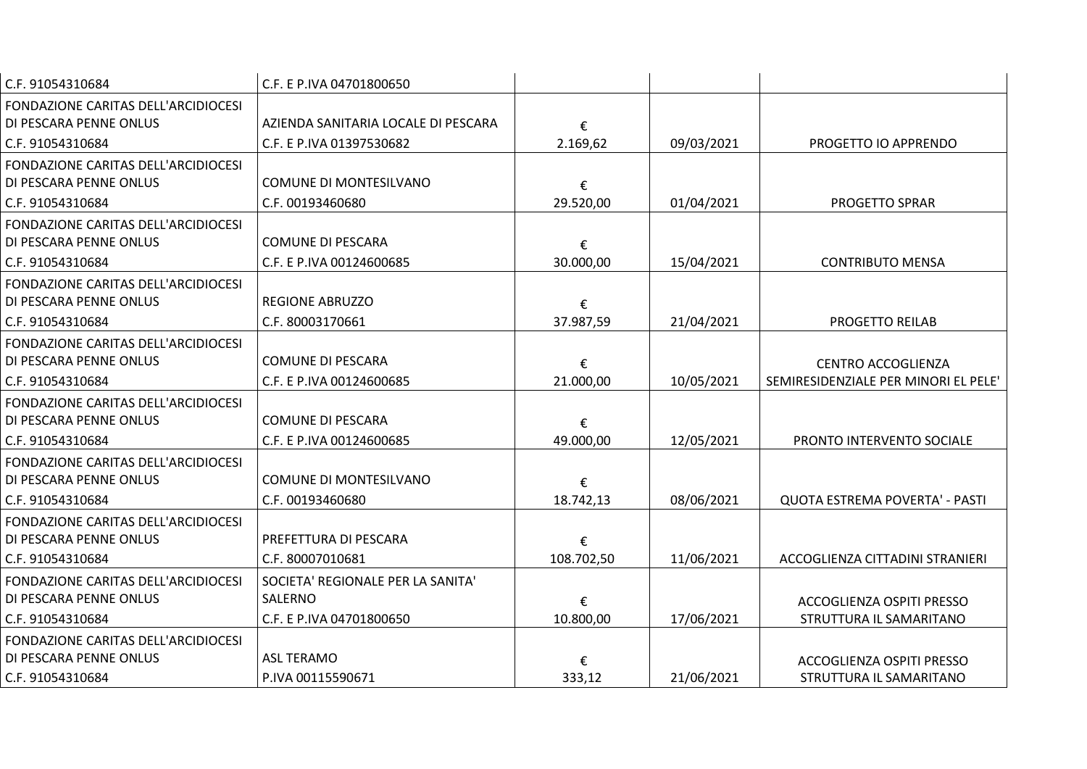| C.F. 91054310684                                                                  | C.F. E P.IVA 04701800650                          |                |            |                                      |
|-----------------------------------------------------------------------------------|---------------------------------------------------|----------------|------------|--------------------------------------|
| FONDAZIONE CARITAS DELL'ARCIDIOCESI<br>DI PESCARA PENNE ONLUS                     | AZIENDA SANITARIA LOCALE DI PESCARA               | €              |            |                                      |
| C.F. 91054310684                                                                  | C.F. E P.IVA 01397530682                          | 2.169,62       | 09/03/2021 | PROGETTO IO APPRENDO                 |
| FONDAZIONE CARITAS DELL'ARCIDIOCESI                                               |                                                   |                |            |                                      |
| DI PESCARA PENNE ONLUS                                                            | COMUNE DI MONTESILVANO                            | €              |            |                                      |
| C.F. 91054310684                                                                  | C.F. 00193460680                                  | 29.520,00      | 01/04/2021 | <b>PROGETTO SPRAR</b>                |
| FONDAZIONE CARITAS DELL'ARCIDIOCESI<br>DI PESCARA PENNE ONLUS                     | <b>COMUNE DI PESCARA</b>                          | €              |            |                                      |
| C.F. 91054310684                                                                  | C.F. E P.IVA 00124600685                          | 30.000,00      | 15/04/2021 | <b>CONTRIBUTO MENSA</b>              |
| FONDAZIONE CARITAS DELL'ARCIDIOCESI<br>DI PESCARA PENNE ONLUS                     | <b>REGIONE ABRUZZO</b>                            | €              |            |                                      |
| C.F. 91054310684                                                                  | C.F. 80003170661                                  | 37.987,59      | 21/04/2021 | <b>PROGETTO REILAB</b>               |
| <b>FONDAZIONE CARITAS DELL'ARCIDIOCESI</b><br>DI PESCARA PENNE ONLUS              | <b>COMUNE DI PESCARA</b>                          | €              |            | <b>CENTRO ACCOGLIENZA</b>            |
| C.F. 91054310684                                                                  | C.F. E P.IVA 00124600685                          | 21.000,00      | 10/05/2021 | SEMIRESIDENZIALE PER MINORI EL PELE' |
| <b>FONDAZIONE CARITAS DELL'ARCIDIOCESI</b><br>DI PESCARA PENNE ONLUS              | <b>COMUNE DI PESCARA</b>                          | €              |            |                                      |
| C.F. 91054310684                                                                  | C.F. E P.IVA 00124600685                          | 49.000,00      | 12/05/2021 | PRONTO INTERVENTO SOCIALE            |
| FONDAZIONE CARITAS DELL'ARCIDIOCESI<br>DI PESCARA PENNE ONLUS<br>C.F. 91054310684 | <b>COMUNE DI MONTESILVANO</b><br>C.F. 00193460680 | €<br>18.742,13 | 08/06/2021 | QUOTA ESTREMA POVERTA' - PASTI       |
| FONDAZIONE CARITAS DELL'ARCIDIOCESI                                               |                                                   |                |            |                                      |
| DI PESCARA PENNE ONLUS                                                            | PREFETTURA DI PESCARA                             | €              |            |                                      |
| C.F. 91054310684                                                                  | C.F. 80007010681                                  | 108.702,50     | 11/06/2021 | ACCOGLIENZA CITTADINI STRANIERI      |
| <b>FONDAZIONE CARITAS DELL'ARCIDIOCESI</b><br>DI PESCARA PENNE ONLUS              | SOCIETA' REGIONALE PER LA SANITA'<br>SALERNO      | €              |            | ACCOGLIENZA OSPITI PRESSO            |
| C.F. 91054310684                                                                  | C.F. E P.IVA 04701800650                          | 10.800,00      | 17/06/2021 | STRUTTURA IL SAMARITANO              |
| FONDAZIONE CARITAS DELL'ARCIDIOCESI<br>DI PESCARA PENNE ONLUS                     | ASL TERAMO                                        | €              |            | ACCOGLIENZA OSPITI PRESSO            |
| C.F. 91054310684                                                                  | P.IVA 00115590671                                 | 333,12         | 21/06/2021 | STRUTTURA IL SAMARITANO              |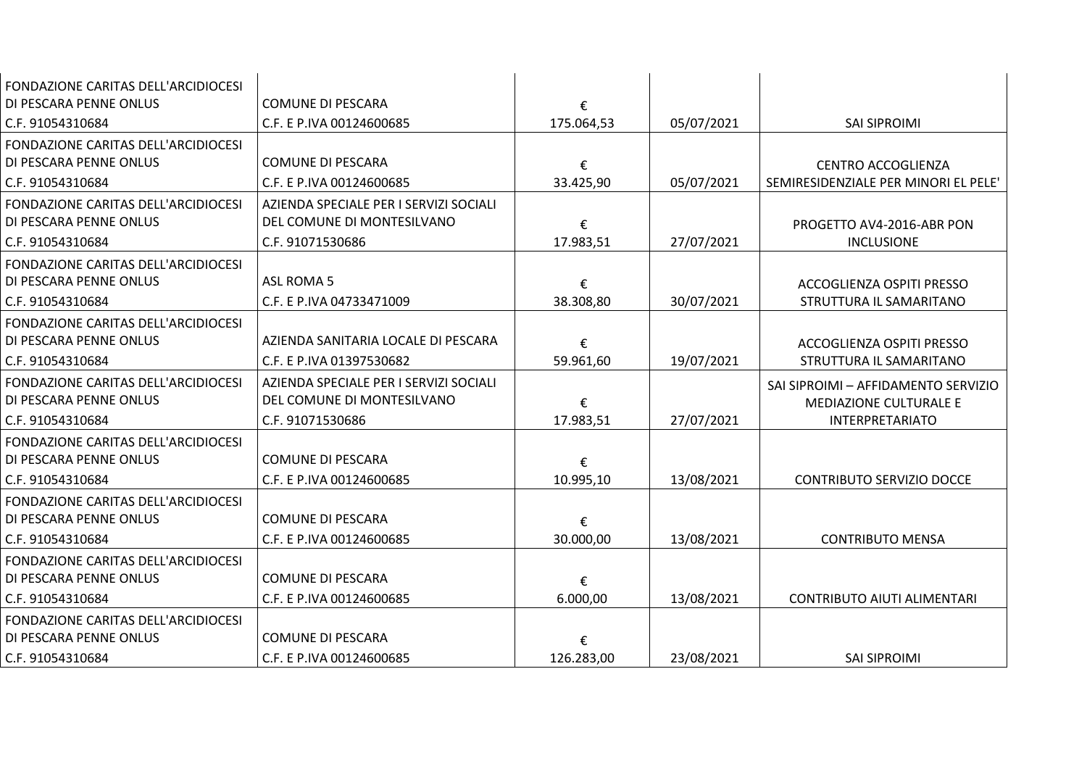| <b>FONDAZIONE CARITAS DELL'ARCIDIOCESI</b><br>DI PESCARA PENNE ONLUS                     | <b>COMUNE DI PESCARA</b>                                                                 | €               |            |                                                                                         |
|------------------------------------------------------------------------------------------|------------------------------------------------------------------------------------------|-----------------|------------|-----------------------------------------------------------------------------------------|
| C.F. 91054310684                                                                         | C.F. E P.IVA 00124600685                                                                 | 175.064,53      | 05/07/2021 | <b>SAI SIPROIMI</b>                                                                     |
| FONDAZIONE CARITAS DELL'ARCIDIOCESI<br>DI PESCARA PENNE ONLUS<br>C.F. 91054310684        | <b>COMUNE DI PESCARA</b><br>C.F. E P.IVA 00124600685                                     | €<br>33.425,90  | 05/07/2021 | <b>CENTRO ACCOGLIENZA</b><br>SEMIRESIDENZIALE PER MINORI EL PELE'                       |
| <b>FONDAZIONE CARITAS DELL'ARCIDIOCESI</b><br>DI PESCARA PENNE ONLUS<br>C.F. 91054310684 | AZIENDA SPECIALE PER I SERVIZI SOCIALI<br>DEL COMUNE DI MONTESILVANO<br>C.F. 91071530686 | €<br>17.983,51  | 27/07/2021 | PROGETTO AV4-2016-ABR PON<br><b>INCLUSIONE</b>                                          |
| FONDAZIONE CARITAS DELL'ARCIDIOCESI<br>DI PESCARA PENNE ONLUS<br>C.F. 91054310684        | <b>ASL ROMA 5</b><br>C.F. E P.IVA 04733471009                                            | €<br>38.308,80  | 30/07/2021 | ACCOGLIENZA OSPITI PRESSO<br>STRUTTURA IL SAMARITANO                                    |
| FONDAZIONE CARITAS DELL'ARCIDIOCESI<br>DI PESCARA PENNE ONLUS<br>C.F. 91054310684        | AZIENDA SANITARIA LOCALE DI PESCARA<br>C.F. E P.IVA 01397530682                          | €<br>59.961,60  | 19/07/2021 | ACCOGLIENZA OSPITI PRESSO<br>STRUTTURA IL SAMARITANO                                    |
| FONDAZIONE CARITAS DELL'ARCIDIOCESI<br>DI PESCARA PENNE ONLUS<br>C.F. 91054310684        | AZIENDA SPECIALE PER I SERVIZI SOCIALI<br>DEL COMUNE DI MONTESILVANO<br>C.F. 91071530686 | €<br>17.983,51  | 27/07/2021 | SAI SIPROIMI - AFFIDAMENTO SERVIZIO<br>MEDIAZIONE CULTURALE E<br><b>INTERPRETARIATO</b> |
| FONDAZIONE CARITAS DELL'ARCIDIOCESI<br>DI PESCARA PENNE ONLUS<br>C.F. 91054310684        | <b>COMUNE DI PESCARA</b><br>C.F. E P.IVA 00124600685                                     | €<br>10.995,10  | 13/08/2021 | <b>CONTRIBUTO SERVIZIO DOCCE</b>                                                        |
| FONDAZIONE CARITAS DELL'ARCIDIOCESI<br>DI PESCARA PENNE ONLUS<br>C.F. 91054310684        | <b>COMUNE DI PESCARA</b><br>C.F. E P.IVA 00124600685                                     | €<br>30.000,00  | 13/08/2021 | <b>CONTRIBUTO MENSA</b>                                                                 |
| FONDAZIONE CARITAS DELL'ARCIDIOCESI<br>DI PESCARA PENNE ONLUS<br>C.F. 91054310684        | <b>COMUNE DI PESCARA</b><br>C.F. E P.IVA 00124600685                                     | €<br>6.000,00   | 13/08/2021 | <b>CONTRIBUTO AIUTI ALIMENTARI</b>                                                      |
| FONDAZIONE CARITAS DELL'ARCIDIOCESI<br>DI PESCARA PENNE ONLUS<br>C.F. 91054310684        | <b>COMUNE DI PESCARA</b><br>C.F. E P.IVA 00124600685                                     | €<br>126.283,00 | 23/08/2021 | <b>SAI SIPROIMI</b>                                                                     |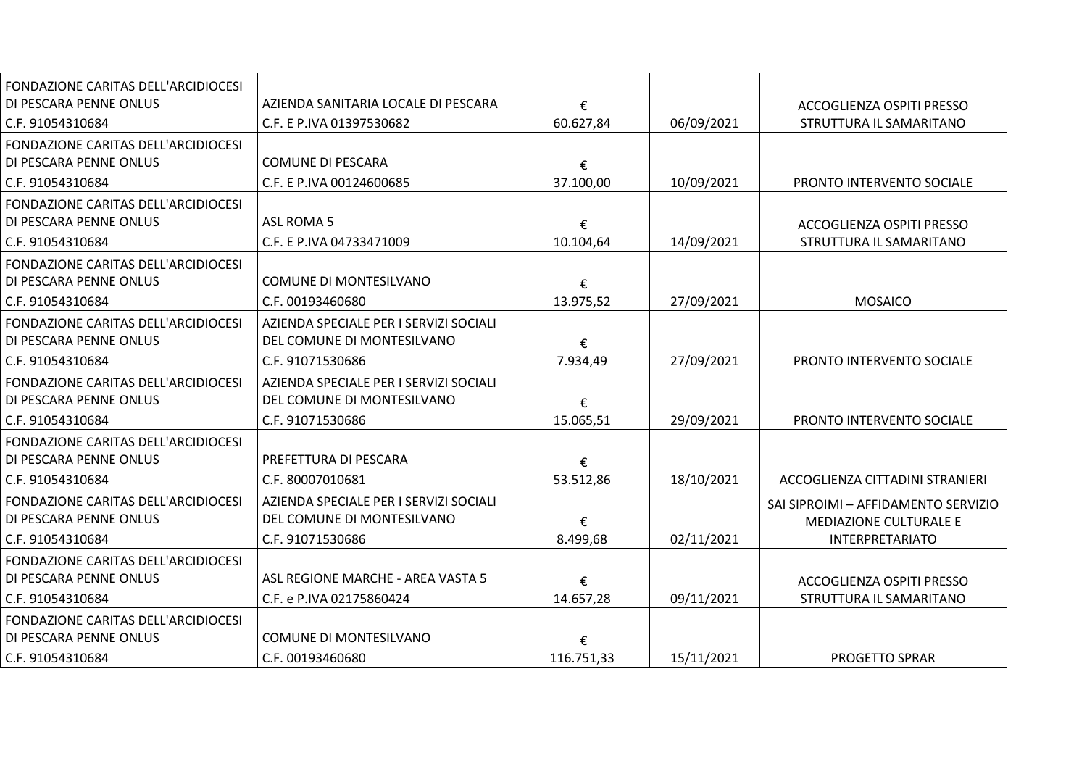| FONDAZIONE CARITAS DELL'ARCIDIOCESI        |                                        |            |            |                                     |
|--------------------------------------------|----------------------------------------|------------|------------|-------------------------------------|
| DI PESCARA PENNE ONLUS                     | AZIENDA SANITARIA LOCALE DI PESCARA    | €          |            | ACCOGLIENZA OSPITI PRESSO           |
| C.F. 91054310684                           | C.F. E P.IVA 01397530682               | 60.627,84  | 06/09/2021 | STRUTTURA IL SAMARITANO             |
| FONDAZIONE CARITAS DELL'ARCIDIOCESI        |                                        |            |            |                                     |
| DI PESCARA PENNE ONLUS                     | <b>COMUNE DI PESCARA</b>               | €          |            |                                     |
| C.F. 91054310684                           | C.F. E P.IVA 00124600685               | 37.100,00  | 10/09/2021 | PRONTO INTERVENTO SOCIALE           |
| FONDAZIONE CARITAS DELL'ARCIDIOCESI        |                                        |            |            |                                     |
| DI PESCARA PENNE ONLUS                     | <b>ASL ROMA 5</b>                      | €          |            | ACCOGLIENZA OSPITI PRESSO           |
| C.F. 91054310684                           | C.F. E P.IVA 04733471009               | 10.104,64  | 14/09/2021 | STRUTTURA IL SAMARITANO             |
| FONDAZIONE CARITAS DELL'ARCIDIOCESI        |                                        |            |            |                                     |
| DI PESCARA PENNE ONLUS                     | COMUNE DI MONTESILVANO                 | €          |            |                                     |
| C.F. 91054310684                           | C.F. 00193460680                       | 13.975,52  | 27/09/2021 | <b>MOSAICO</b>                      |
| FONDAZIONE CARITAS DELL'ARCIDIOCESI        | AZIENDA SPECIALE PER I SERVIZI SOCIALI |            |            |                                     |
| DI PESCARA PENNE ONLUS                     | DEL COMUNE DI MONTESILVANO             | €          |            |                                     |
| C.F. 91054310684                           | C.F. 91071530686                       | 7.934,49   | 27/09/2021 | PRONTO INTERVENTO SOCIALE           |
| FONDAZIONE CARITAS DELL'ARCIDIOCESI        | AZIENDA SPECIALE PER I SERVIZI SOCIALI |            |            |                                     |
| DI PESCARA PENNE ONLUS                     | DEL COMUNE DI MONTESILVANO             | €          |            |                                     |
| C.F. 91054310684                           | C.F. 91071530686                       | 15.065,51  | 29/09/2021 | PRONTO INTERVENTO SOCIALE           |
| FONDAZIONE CARITAS DELL'ARCIDIOCESI        |                                        |            |            |                                     |
| DI PESCARA PENNE ONLUS                     | PREFETTURA DI PESCARA                  | €          |            |                                     |
| C.F. 91054310684                           | C.F. 80007010681                       | 53.512,86  | 18/10/2021 | ACCOGLIENZA CITTADINI STRANIERI     |
| <b>FONDAZIONE CARITAS DELL'ARCIDIOCESI</b> | AZIENDA SPECIALE PER I SERVIZI SOCIALI |            |            | SAI SIPROIMI - AFFIDAMENTO SERVIZIO |
| DI PESCARA PENNE ONLUS                     | DEL COMUNE DI MONTESILVANO             | €          |            | MEDIAZIONE CULTURALE E              |
| C.F. 91054310684                           | C.F. 91071530686                       | 8.499,68   | 02/11/2021 | <b>INTERPRETARIATO</b>              |
| FONDAZIONE CARITAS DELL'ARCIDIOCESI        |                                        |            |            |                                     |
| DI PESCARA PENNE ONLUS                     | ASL REGIONE MARCHE - AREA VASTA 5      | €          |            | ACCOGLIENZA OSPITI PRESSO           |
| C.F. 91054310684                           | C.F. e P.IVA 02175860424               | 14.657,28  | 09/11/2021 | STRUTTURA IL SAMARITANO             |
| FONDAZIONE CARITAS DELL'ARCIDIOCESI        |                                        |            |            |                                     |
| DI PESCARA PENNE ONLUS                     | COMUNE DI MONTESILVANO                 | €          |            |                                     |
| C.F. 91054310684                           | C.F. 00193460680                       | 116.751,33 | 15/11/2021 | <b>PROGETTO SPRAR</b>               |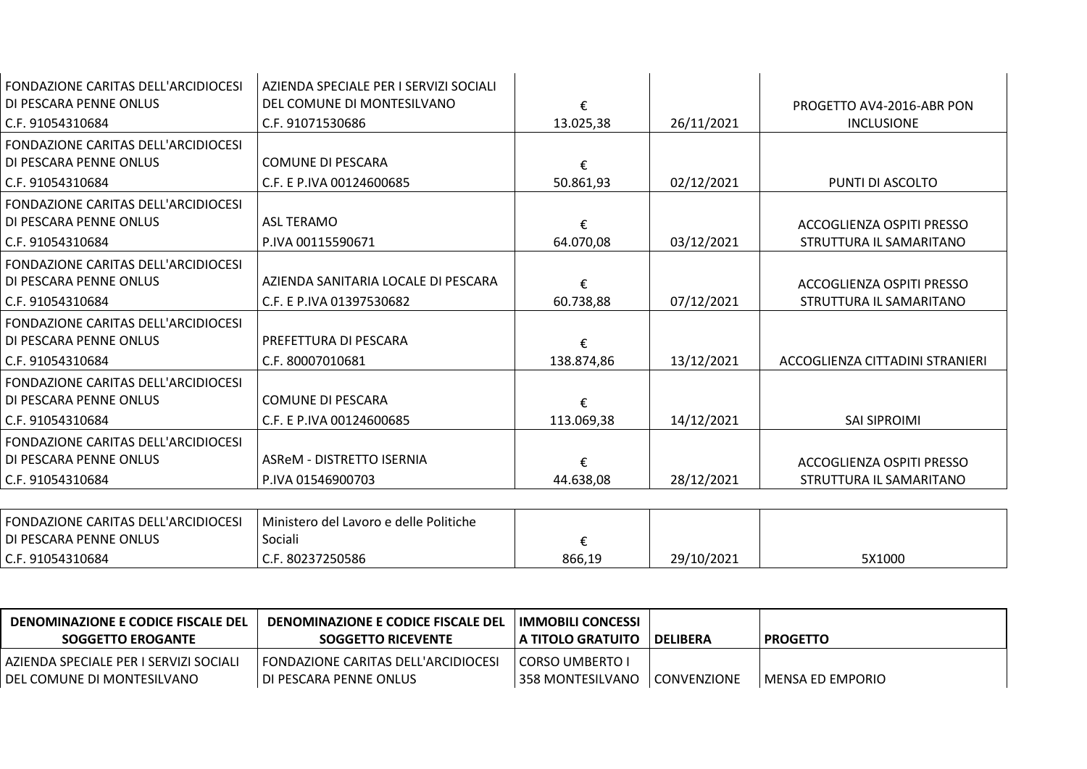| FONDAZIONE CARITAS DELL'ARCIDIOCESI        | AZIENDA SPECIALE PER I SERVIZI SOCIALI |            |            |                                 |
|--------------------------------------------|----------------------------------------|------------|------------|---------------------------------|
| DI PESCARA PENNE ONLUS                     | DEL COMUNE DI MONTESILVANO             | €          |            | PROGETTO AV4-2016-ABR PON       |
| C.F. 91054310684                           | C.F. 91071530686                       | 13.025,38  | 26/11/2021 | <b>INCLUSIONE</b>               |
| <b>FONDAZIONE CARITAS DELL'ARCIDIOCESI</b> |                                        |            |            |                                 |
| DI PESCARA PENNE ONLUS                     | <b>COMUNE DI PESCARA</b>               | €          |            |                                 |
| C.F. 91054310684                           | C.F. E P.IVA 00124600685               | 50.861,93  | 02/12/2021 | PUNTI DI ASCOLTO                |
| FONDAZIONE CARITAS DELL'ARCIDIOCESI        |                                        |            |            |                                 |
| DI PESCARA PENNE ONLUS                     | ASL TERAMO                             | €          |            | ACCOGLIENZA OSPITI PRESSO       |
| C.F. 91054310684                           | P.IVA 00115590671                      | 64.070,08  | 03/12/2021 | STRUTTURA IL SAMARITANO         |
| FONDAZIONE CARITAS DELL'ARCIDIOCESI        |                                        |            |            |                                 |
| DI PESCARA PENNE ONLUS                     | AZIENDA SANITARIA LOCALE DI PESCARA    | €          |            | ACCOGLIENZA OSPITI PRESSO       |
| C.F. 91054310684                           | C.F. E P.IVA 01397530682               | 60.738,88  | 07/12/2021 | STRUTTURA IL SAMARITANO         |
| FONDAZIONE CARITAS DELL'ARCIDIOCESI        |                                        |            |            |                                 |
| DI PESCARA PENNE ONLUS                     | PREFETTURA DI PESCARA                  | €          |            |                                 |
| C.F. 91054310684                           | C.F. 80007010681                       | 138.874,86 | 13/12/2021 | ACCOGLIENZA CITTADINI STRANIERI |
| FONDAZIONE CARITAS DELL'ARCIDIOCESI        |                                        |            |            |                                 |
| DI PESCARA PENNE ONLUS                     | <b>COMUNE DI PESCARA</b>               |            |            |                                 |
| C.F. 91054310684                           | C.F. E P.IVA 00124600685               | 113.069,38 | 14/12/2021 | <b>SAI SIPROIMI</b>             |
| <b>FONDAZIONE CARITAS DELL'ARCIDIOCESI</b> |                                        |            |            |                                 |
| DI PESCARA PENNE ONLUS                     | <b>ASReM - DISTRETTO ISERNIA</b>       | €          |            | ACCOGLIENZA OSPITI PRESSO       |
| C.F. 91054310684                           | P.IVA 01546900703                      | 44.638,08  | 28/12/2021 | STRUTTURA IL SAMARITANO         |
|                                            |                                        |            |            |                                 |
|                                            |                                        |            |            |                                 |

| <b>FONDAZIONE CARITAS DELL'ARCIDIOCESI</b> | Ministero del Lavoro e delle Politiche |        |            |        |
|--------------------------------------------|----------------------------------------|--------|------------|--------|
| I DI PESCARA PENNE ONLUS                   | Sociali                                |        |            |        |
| C.F. 91054310684                           | $-80237250586$                         | 866,19 | 29/10/2021 | 5X1000 |

| <b>DENOMINAZIONE E CODICE FISCALE DEL</b><br>SOGGETTO EROGANTE | <b>DENOMINAZIONE E CODICE FISCALE DEL</b><br>SOGGETTO RICEVENTE | I IMMOBILI CONCESSI<br>I A TITOLO GRATUITO | <b>I DELIBERA</b> | <b>PROGETTO</b>    |
|----------------------------------------------------------------|-----------------------------------------------------------------|--------------------------------------------|-------------------|--------------------|
| l AZIENDA SPECIALE PER I SERVIZI SOCIALI                       | I FONDAZIONE CARITAS DELL'ARCIDIOCESI                           | l CORSO UMBERTO I                          |                   |                    |
| l DEL COMUNE DI MONTESILVANO I                                 | l DI PESCARA PENNE ONLUS I                                      | 358 MONTESILVANO                           | l CONVENZIONE     | l MENSA ED EMPORIO |